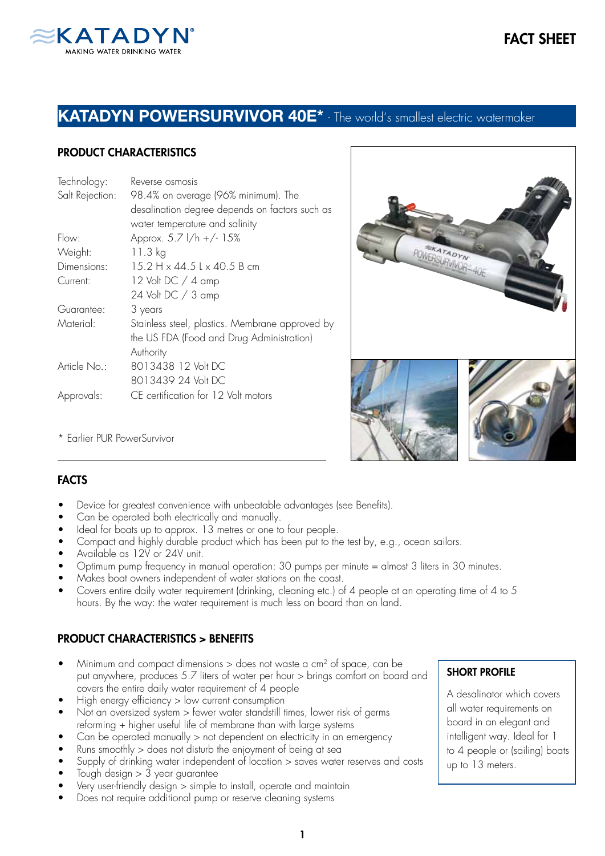

# KATADYN POWERSURVIVOR 40E\* - The world's smallest electric watermaker

# PRODUCT CHARACTERISTICS

| Technology:     | Reverse osmosis                                 |
|-----------------|-------------------------------------------------|
| Salt Rejection: | 98.4% on average (96% minimum). The             |
|                 | desalination degree depends on factors such as  |
|                 | water temperature and salinity                  |
| Flow:           | Approx. 5.7 l/h +/- 15%                         |
| Weight:         | 11.3 kg                                         |
| Dimensions:     | 15.2 H x 44.5 L x 40.5 B cm                     |
| Current:        | 12 Volt DC / 4 amp                              |
|                 | 24 Volt DC / 3 amp                              |
| Guarantee:      | 3 years                                         |
| Material:       | Stainless steel, plastics. Membrane approved by |
|                 | the US FDA (Food and Drug Administration)       |
|                 | Authority                                       |
| Article No.:    | 8013438 12 Volt DC                              |
|                 | 8013439 24 Volt DC                              |
| Approvals:      | CE certification for 12 Volt motors             |
|                 |                                                 |



\* Earlier PUR PowerSurvivor

# **FACTS**

- Device for greatest convenience with unbeatable advantages (see Benefits).
- Can be operated both electrically and manually.
- Ideal for boats up to approx. 13 metres or one to four people.
- Compact and highly durable product which has been put to the test by, e.g., ocean sailors.
- Available as 12V or 24V unit.
- Optimum pump frequency in manual operation: 30 pumps per minute = almost 3 liters in 30 minutes.
- Makes boat owners independent of water stations on the coast.
- Covers entire daily water requirement (drinking, cleaning etc.) of 4 people at an operating time of 4 to 5 hours. By the way: the water requirement is much less on board than on land.

# PRODUCT CHARACTERISTICS > BENEFITS

- Minimum and compact dimensions  $>$  does not waste a cm<sup>2</sup> of space, can be put anywhere, produces 5.7 liters of water per hour > brings comfort on board and covers the entire daily water requirement of 4 people
- High energy efficiency > low current consumption
- Not an oversized system > fewer water standstill times, lower risk of germs reforming + higher useful life of membrane than with large systems
- Can be operated manually > not dependent on electricity in an emergency
- Runs smoothly  $>$  does not disturb the enjoyment of being at sea
- Supply of drinking water independent of location > saves water reserves and costs
- Tough design  $> 3$  year guarantee
- Very user-friendly design > simple to install, operate and maintain
- Does not require additional pump or reserve cleaning systems

#### SHORT PROFILE

A desalinator which covers all water requirements on board in an elegant and intelligent way. Ideal for 1 to 4 people or (sailing) boats up to 13 meters.